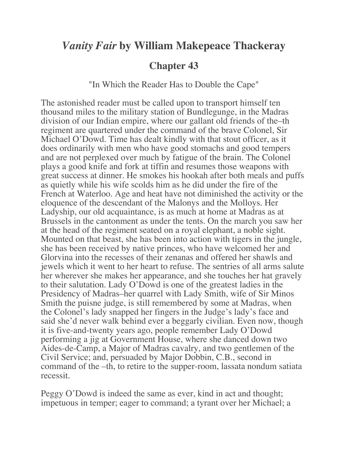## *Vanity Fair* **by William Makepeace Thackeray**

## **Chapter 43**

"In Which the Reader Has to Double the Cape"

The astonished reader must be called upon to transport himself ten thousand miles to the military station of Bundlegunge, in the Madras division of our Indian empire, where our gallant old friends of the–th regiment are quartered under the command of the brave Colonel, Sir Michael O'Dowd. Time has dealt kindly with that stout officer, as it does ordinarily with men who have good stomachs and good tempers and are not perplexed over much by fatigue of the brain. The Colonel plays a good knife and fork at tiffin and resumes those weapons with great success at dinner. He smokes his hookah after both meals and puffs as quietly while his wife scolds him as he did under the fire of the French at Waterloo. Age and heat have not diminished the activity or the eloquence of the descendant of the Malonys and the Molloys. Her Ladyship, our old acquaintance, is as much at home at Madras as at Brussels in the cantonment as under the tents. On the march you saw her at the head of the regiment seated on a royal elephant, a noble sight. Mounted on that beast, she has been into action with tigers in the jungle, she has been received by native princes, who have welcomed her and Glorvina into the recesses of their zenanas and offered her shawls and jewels which it went to her heart to refuse. The sentries of all arms salute her wherever she makes her appearance, and she touches her hat gravely to their salutation. Lady O'Dowd is one of the greatest ladies in the Presidency of Madras–her quarrel with Lady Smith, wife of Sir Minos Smith the puisne judge, is still remembered by some at Madras, when the Colonel's lady snapped her fingers in the Judge's lady's face and said she'd never walk behind ever a beggarly civilian. Even now, though it is five-and-twenty years ago, people remember Lady O'Dowd performing a jig at Government House, where she danced down two Aides-de-Camp, a Major of Madras cavalry, and two gentlemen of the Civil Service; and, persuaded by Major Dobbin, C.B., second in command of the –th, to retire to the supper-room, lassata nondum satiata recessit.

Peggy O'Dowd is indeed the same as ever, kind in act and thought; impetuous in temper; eager to command; a tyrant over her Michael; a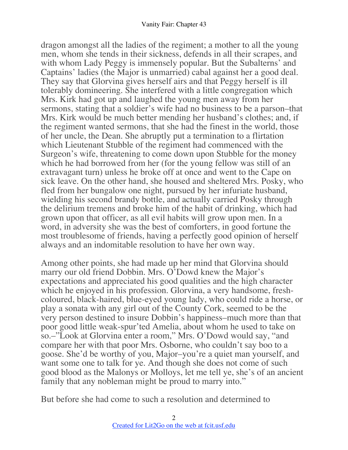dragon amongst all the ladies of the regiment; a mother to all the young men, whom she tends in their sickness, defends in all their scrapes, and with whom Lady Peggy is immensely popular. But the Subalterns' and Captains' ladies (the Major is unmarried) cabal against her a good deal. They say that Glorvina gives herself airs and that Peggy herself is ill tolerably domineering. She interfered with a little congregation which Mrs. Kirk had got up and laughed the young men away from her sermons, stating that a soldier's wife had no business to be a parson–that Mrs. Kirk would be much better mending her husband's clothes; and, if the regiment wanted sermons, that she had the finest in the world, those of her uncle, the Dean. She abruptly put a termination to a flirtation which Lieutenant Stubble of the regiment had commenced with the Surgeon's wife, threatening to come down upon Stubble for the money which he had borrowed from her (for the young fellow was still of an extravagant turn) unless he broke off at once and went to the Cape on sick leave. On the other hand, she housed and sheltered Mrs. Posky, who fled from her bungalow one night, pursued by her infuriate husband, wielding his second brandy bottle, and actually carried Posky through the delirium tremens and broke him of the habit of drinking, which had grown upon that officer, as all evil habits will grow upon men. In a word, in adversity she was the best of comforters, in good fortune the most troublesome of friends, having a perfectly good opinion of herself always and an indomitable resolution to have her own way.

Among other points, she had made up her mind that Glorvina should marry our old friend Dobbin. Mrs. O'Dowd knew the Major's expectations and appreciated his good qualities and the high character which he enjoyed in his profession. Glorvina, a very handsome, freshcoloured, black-haired, blue-eyed young lady, who could ride a horse, or play a sonata with any girl out of the County Cork, seemed to be the very person destined to insure Dobbin's happiness–much more than that poor good little weak-spur'ted Amelia, about whom he used to take on so.–"Look at Glorvina enter a room," Mrs. O'Dowd would say, "and compare her with that poor Mrs. Osborne, who couldn't say boo to a goose. She'd be worthy of you, Major–you're a quiet man yourself, and want some one to talk for ye. And though she does not come of such good blood as the Malonys or Molloys, let me tell ye, she's of an ancient family that any nobleman might be proud to marry into."

But before she had come to such a resolution and determined to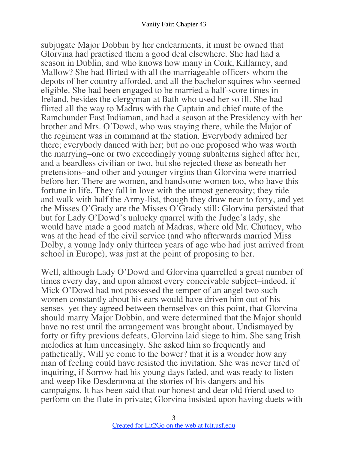subjugate Major Dobbin by her endearments, it must be owned that Glorvina had practised them a good deal elsewhere. She had had a season in Dublin, and who knows how many in Cork, Killarney, and Mallow? She had flirted with all the marriageable officers whom the depots of her country afforded, and all the bachelor squires who seemed eligible. She had been engaged to be married a half-score times in Ireland, besides the clergyman at Bath who used her so ill. She had flirted all the way to Madras with the Captain and chief mate of the Ramchunder East Indiaman, and had a season at the Presidency with her brother and Mrs. O'Dowd, who was staying there, while the Major of the regiment was in command at the station. Everybody admired her there; everybody danced with her; but no one proposed who was worth the marrying–one or two exceedingly young subalterns sighed after her, and a beardless civilian or two, but she rejected these as beneath her pretensions–and other and younger virgins than Glorvina were married before her. There are women, and handsome women too, who have this fortune in life. They fall in love with the utmost generosity; they ride and walk with half the Army-list, though they draw near to forty, and yet the Misses O'Grady are the Misses O'Grady still: Glorvina persisted that but for Lady O'Dowd's unlucky quarrel with the Judge's lady, she would have made a good match at Madras, where old Mr. Chutney, who was at the head of the civil service (and who afterwards married Miss Dolby, a young lady only thirteen years of age who had just arrived from school in Europe), was just at the point of proposing to her.

Well, although Lady O'Dowd and Glorvina quarrelled a great number of times every day, and upon almost every conceivable subject–indeed, if Mick O'Dowd had not possessed the temper of an angel two such women constantly about his ears would have driven him out of his senses–yet they agreed between themselves on this point, that Glorvina should marry Major Dobbin, and were determined that the Major should have no rest until the arrangement was brought about. Undismayed by forty or fifty previous defeats, Glorvina laid siege to him. She sang Irish melodies at him unceasingly. She asked him so frequently and pathetically, Will ye come to the bower? that it is a wonder how any man of feeling could have resisted the invitation. She was never tired of inquiring, if Sorrow had his young days faded, and was ready to listen and weep like Desdemona at the stories of his dangers and his campaigns. It has been said that our honest and dear old friend used to perform on the flute in private; Glorvina insisted upon having duets with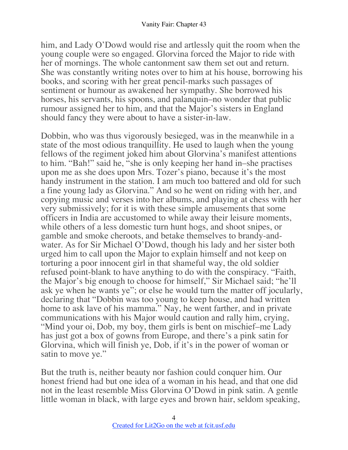him, and Lady O'Dowd would rise and artlessly quit the room when the young couple were so engaged. Glorvina forced the Major to ride with her of mornings. The whole cantonment saw them set out and return. She was constantly writing notes over to him at his house, borrowing his books, and scoring with her great pencil-marks such passages of sentiment or humour as awakened her sympathy. She borrowed his horses, his servants, his spoons, and palanquin–no wonder that public rumour assigned her to him, and that the Major's sisters in England should fancy they were about to have a sister-in-law.

Dobbin, who was thus vigorously besieged, was in the meanwhile in a state of the most odious tranquillity. He used to laugh when the young fellows of the regiment joked him about Glorvina's manifest attentions to him. "Bah!" said he, "she is only keeping her hand in–she practises upon me as she does upon Mrs. Tozer's piano, because it's the most handy instrument in the station. I am much too battered and old for such a fine young lady as Glorvina." And so he went on riding with her, and copying music and verses into her albums, and playing at chess with her very submissively; for it is with these simple amusements that some officers in India are accustomed to while away their leisure moments, while others of a less domestic turn hunt hogs, and shoot snipes, or gamble and smoke cheroots, and betake themselves to brandy-andwater. As for Sir Michael O'Dowd, though his lady and her sister both urged him to call upon the Major to explain himself and not keep on torturing a poor innocent girl in that shameful way, the old soldier refused point-blank to have anything to do with the conspiracy. "Faith, the Major's big enough to choose for himself," Sir Michael said; "he'll ask ye when he wants ye"; or else he would turn the matter off jocularly, declaring that "Dobbin was too young to keep house, and had written home to ask lave of his mamma." Nay, he went farther, and in private communications with his Major would caution and rally him, crying, "Mind your oi, Dob, my boy, them girls is bent on mischief–me Lady has just got a box of gowns from Europe, and there's a pink satin for Glorvina, which will finish ye, Dob, if it's in the power of woman or satin to move ye."

But the truth is, neither beauty nor fashion could conquer him. Our honest friend had but one idea of a woman in his head, and that one did not in the least resemble Miss Glorvina O'Dowd in pink satin. A gentle little woman in black, with large eyes and brown hair, seldom speaking,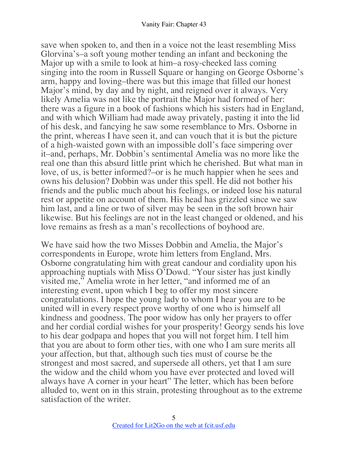save when spoken to, and then in a voice not the least resembling Miss Glorvina's–a soft young mother tending an infant and beckoning the Major up with a smile to look at him–a rosy-cheeked lass coming singing into the room in Russell Square or hanging on George Osborne's arm, happy and loving–there was but this image that filled our honest Major's mind, by day and by night, and reigned over it always. Very likely Amelia was not like the portrait the Major had formed of her: there was a figure in a book of fashions which his sisters had in England, and with which William had made away privately, pasting it into the lid of his desk, and fancying he saw some resemblance to Mrs. Osborne in the print, whereas I have seen it, and can vouch that it is but the picture of a high-waisted gown with an impossible doll's face simpering over it–and, perhaps, Mr. Dobbin's sentimental Amelia was no more like the real one than this absurd little print which he cherished. But what man in love, of us, is better informed?–or is he much happier when he sees and owns his delusion? Dobbin was under this spell. He did not bother his friends and the public much about his feelings, or indeed lose his natural rest or appetite on account of them. His head has grizzled since we saw him last, and a line or two of silver may be seen in the soft brown hair likewise. But his feelings are not in the least changed or oldened, and his love remains as fresh as a man's recollections of boyhood are.

We have said how the two Misses Dobbin and Amelia, the Major's correspondents in Europe, wrote him letters from England, Mrs. Osborne congratulating him with great candour and cordiality upon his approaching nuptials with Miss O'Dowd. "Your sister has just kindly visited me," Amelia wrote in her letter, "and informed me of an interesting event, upon which I beg to offer my most sincere congratulations. I hope the young lady to whom I hear you are to be united will in every respect prove worthy of one who is himself all kindness and goodness. The poor widow has only her prayers to offer and her cordial cordial wishes for your prosperity! Georgy sends his love to his dear godpapa and hopes that you will not forget him. I tell him that you are about to form other ties, with one who I am sure merits all your affection, but that, although such ties must of course be the strongest and most sacred, and supersede all others, yet that I am sure the widow and the child whom you have ever protected and loved will always have A corner in your heart" The letter, which has been before alluded to, went on in this strain, protesting throughout as to the extreme satisfaction of the writer.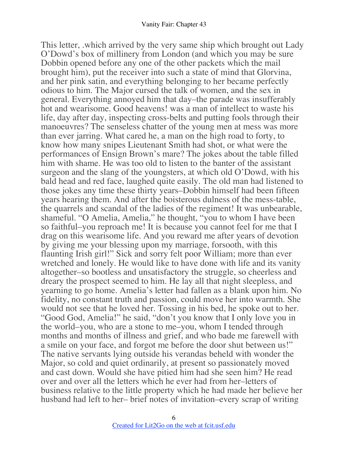This letter, .which arrived by the very same ship which brought out Lady O'Dowd's box of millinery from London (and which you may be sure Dobbin opened before any one of the other packets which the mail brought him), put the receiver into such a state of mind that Glorvina, and her pink satin, and everything belonging to her became perfectly odious to him. The Major cursed the talk of women, and the sex in general. Everything annoyed him that day–the parade was insufferably hot and wearisome. Good heavens! was a man of intellect to waste his life, day after day, inspecting cross-belts and putting fools through their manoeuvres? The senseless chatter of the young men at mess was more than ever jarring. What cared he, a man on the high road to forty, to know how many snipes Lieutenant Smith had shot, or what were the performances of Ensign Brown's mare? The jokes about the table filled him with shame. He was too old to listen to the banter of the assistant surgeon and the slang of the youngsters, at which old O'Dowd, with his bald head and red face, laughed quite easily. The old man had listened to those jokes any time these thirty years–Dobbin himself had been fifteen years hearing them. And after the boisterous dulness of the mess-table, the quarrels and scandal of the ladies of the regiment! It was unbearable, shameful. "O Amelia, Amelia," he thought, "you to whom I have been so faithful–you reproach me! It is because you cannot feel for me that I drag on this wearisome life. And you reward me after years of devotion by giving me your blessing upon my marriage, forsooth, with this flaunting Irish girl!" Sick and sorry felt poor William; more than ever wretched and lonely. He would like to have done with life and its vanity altogether–so bootless and unsatisfactory the struggle, so cheerless and dreary the prospect seemed to him. He lay all that night sleepless, and yearning to go home. Amelia's letter had fallen as a blank upon him. No fidelity, no constant truth and passion, could move her into warmth. She would not see that he loved her. Tossing in his bed, he spoke out to her. "Good God, Amelia!" he said, "don't you know that I only love you in the world–you, who are a stone to me–you, whom I tended through months and months of illness and grief, and who bade me farewell with a smile on your face, and forgot me before the door shut between us!" The native servants lying outside his verandas beheld with wonder the Major, so cold and quiet ordinarily, at present so passionately moved and cast down. Would she have pitied him had she seen him? He read over and over all the letters which he ever had from her–letters of business relative to the little property which he had made her believe her husband had left to her– brief notes of invitation–every scrap of writing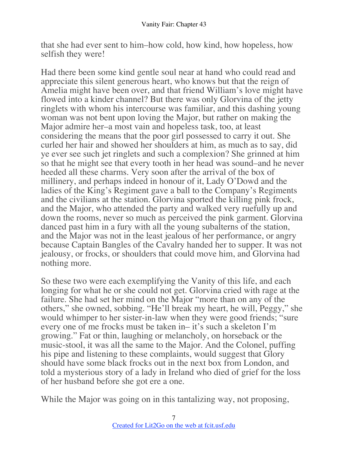that she had ever sent to him–how cold, how kind, how hopeless, how selfish they were!

Had there been some kind gentle soul near at hand who could read and appreciate this silent generous heart, who knows but that the reign of Amelia might have been over, and that friend William's love might have flowed into a kinder channel? But there was only Glorvina of the jetty ringlets with whom his intercourse was familiar, and this dashing young woman was not bent upon loving the Major, but rather on making the Major admire her–a most vain and hopeless task, too, at least considering the means that the poor girl possessed to carry it out. She curled her hair and showed her shoulders at him, as much as to say, did ye ever see such jet ringlets and such a complexion? She grinned at him so that he might see that every tooth in her head was sound–and he never heeded all these charms. Very soon after the arrival of the box of millinery, and perhaps indeed in honour of it, Lady O'Dowd and the ladies of the King's Regiment gave a ball to the Company's Regiments and the civilians at the station. Glorvina sported the killing pink frock, and the Major, who attended the party and walked very ruefully up and down the rooms, never so much as perceived the pink garment. Glorvina danced past him in a fury with all the young subalterns of the station, and the Major was not in the least jealous of her performance, or angry because Captain Bangles of the Cavalry handed her to supper. It was not jealousy, or frocks, or shoulders that could move him, and Glorvina had nothing more.

So these two were each exemplifying the Vanity of this life, and each longing for what he or she could not get. Glorvina cried with rage at the failure. She had set her mind on the Major "more than on any of the others," she owned, sobbing. "He'll break my heart, he will, Peggy," she would whimper to her sister-in-law when they were good friends; "sure every one of me frocks must be taken in– it's such a skeleton I'm growing." Fat or thin, laughing or melancholy, on horseback or the music-stool, it was all the same to the Major. And the Colonel, puffing his pipe and listening to these complaints, would suggest that Glory should have some black frocks out in the next box from London, and told a mysterious story of a lady in Ireland who died of grief for the loss of her husband before she got ere a one.

While the Major was going on in this tantalizing way, not proposing,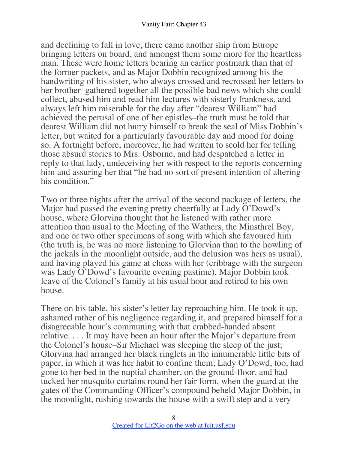and declining to fall in love, there came another ship from Europe bringing letters on board, and amongst them some more for the heartless man. These were home letters bearing an earlier postmark than that of the former packets, and as Major Dobbin recognized among his the handwriting of his sister, who always crossed and recrossed her letters to her brother–gathered together all the possible bad news which she could collect, abused him and read him lectures with sisterly frankness, and always left him miserable for the day after "dearest William" had achieved the perusal of one of her epistles–the truth must be told that dearest William did not hurry himself to break the seal of Miss Dobbin's letter, but waited for a particularly favourable day and mood for doing so. A fortnight before, moreover, he had written to scold her for telling those absurd stories to Mrs. Osborne, and had despatched a letter in reply to that lady, undeceiving her with respect to the reports concerning him and assuring her that "he had no sort of present intention of altering his condition."

Two or three nights after the arrival of the second package of letters, the Major had passed the evening pretty cheerfully at Lady O'Dowd's house, where Glorvina thought that he listened with rather more attention than usual to the Meeting of the Wathers, the Minsthrel Boy, and one or two other specimens of song with which she favoured him (the truth is, he was no more listening to Glorvina than to the howling of the jackals in the moonlight outside, and the delusion was hers as usual), and having played his game at chess with her (cribbage with the surgeon was Lady O'Dowd's favourite evening pastime), Major Dobbin took leave of the Colonel's family at his usual hour and retired to his own house.

There on his table, his sister's letter lay reproaching him. He took it up, ashamed rather of his negligence regarding it, and prepared himself for a disagreeable hour's communing with that crabbed-handed absent relative. . . . It may have been an hour after the Major's departure from the Colonel's house–Sir Michael was sleeping the sleep of the just; Glorvina had arranged her black ringlets in the innumerable little bits of paper, in which it was her habit to confine them; Lady O'Dowd, too, had gone to her bed in the nuptial chamber, on the ground-floor, and had tucked her musquito curtains round her fair form, when the guard at the gates of the Commanding-Officer's compound beheld Major Dobbin, in the moonlight, rushing towards the house with a swift step and a very